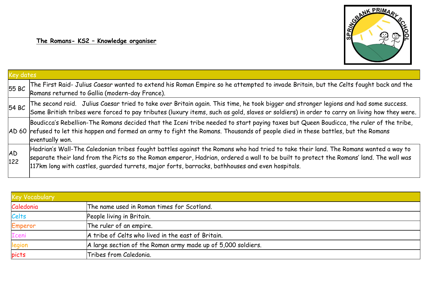

| Key dates |                                                                                                                                                                                                                                                                                                                                                                                  |  |
|-----------|----------------------------------------------------------------------------------------------------------------------------------------------------------------------------------------------------------------------------------------------------------------------------------------------------------------------------------------------------------------------------------|--|
| 55BC      | The First Raid- Julius Caesar wanted to extend his Roman Empire so he attempted to invade Britain, but the Celts fought back and the Romans returned to Gallia (modern-day France).                                                                                                                                                                                              |  |
| 54 BC     | The second raid. Julius Caesar tried to take over Britain again. This time, he took bigger and stronger legions and had some success.<br>Some British tribes were forced to pay tributes (luxury items, such as gold, slaves or s                                                                                                                                                |  |
|           | Boudicca's Rebellion-The Romans decided that the Iceni tribe needed to start paying taxes but Queen Boudicca, the ruler of the tribe,<br>AD 60 refused to let this happen and formed an army to fight the Romans. Thousands of people died in these battles, but the Romans<br>eventually won.                                                                                   |  |
| AD<br>122 | Hadrian's Wall-The Caledonian tribes fought battles against the Romans who had tried to take their land. The Romans wanted a way to<br>separate their land from the Picts so the Roman emperor, Hadrian, ordered a wall to be built to protect the Romans' land. The wall was<br>117km long with castles, guarded turrets, major forts, barracks, bathhouses and even hospitals. |  |

| <b>Key Vocabulary</b> |                                                              |  |
|-----------------------|--------------------------------------------------------------|--|
| Caledonia             | The name used in Roman times for Scotland.                   |  |
| Celts                 | People living in Britain.                                    |  |
| Emperor               | The ruler of an empire.                                      |  |
| <b>Iceni</b>          | A tribe of Celts who lived in the east of Britain.           |  |
| legion                | A large section of the Roman army made up of 5,000 soldiers. |  |
| picts                 | Tribes from Caledonia.                                       |  |